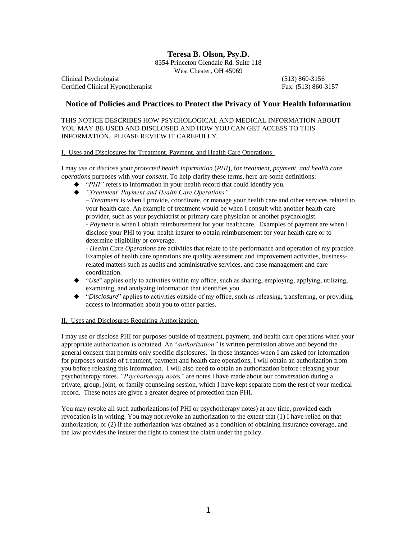## **Teresa B. Olson, Psy.D.**

8354 Princeton Glendale Rd. Suite 118 West Chester, OH 45069

Clinical Psychologist (513) 860-3156 Certified Clinical Hypnotherapist Fax: (513) 860-3157

## **Notice of Policies and Practices to Protect the Privacy of Your Health Information**

THIS NOTICE DESCRIBES HOW PSYCHOLOGICAL AND MEDICAL INFORMATION ABOUT YOU MAY BE USED AND DISCLOSED AND HOW YOU CAN GET ACCESS TO THIS INFORMATION. PLEASE REVIEW IT CAREFULLY.

I. Uses and Disclosures for Treatment, Payment, and Health Care Operations

I may *use* or *disclose* your *protected health information* (*PHI*), for *treatment, payment, and health care operations* purposes with your *consent*. To help clarify these terms, here are some definitions:

- ◆ *"PHI"* refers to information in your health record that could identify you.
- *"Treatment, Payment and Health Care Operations"*

– *Treatment* is when I provide, coordinate, or manage your health care and other services related to your health care. An example of treatment would be when I consult with another health care provider, such as your psychiatrist or primary care physician or another psychologist.

- *Payment* is when I obtain reimbursement for your healthcare. Examples of payment are when I disclose your PHI to your health insurer to obtain reimbursement for your health care or to determine eligibility or coverage.

- *Health Care Operations* are activities that relate to the performance and operation of my practice. Examples of health care operations are quality assessment and improvement activities, businessrelated matters such as audits and administrative services, and case management and care coordination.

- ◆ *"Use"* applies only to activities within my office, such as sharing, employing, applying, utilizing, examining, and analyzing information that identifies you.
- ◆ *"Disclosure"* applies to activities outside of my office, such as releasing, transferring, or providing access to information about you to other parties.

### II. Uses and Disclosures Requiring Authorization

I may use or disclose PHI for purposes outside of treatment, payment, and health care operations when your appropriate authorization is obtained. An "*authorization"* is written permission above and beyond the general consent that permits only specific disclosures. In those instances when I am asked for information for purposes outside of treatment, payment and health care operations, I will obtain an authorization from you before releasing this information. I will also need to obtain an authorization before releasing your psychotherapy notes. *"Psychotherapy notes"* are notes I have made about our conversation during a private, group, joint, or family counseling session, which I have kept separate from the rest of your medical record. These notes are given a greater degree of protection than PHI.

You may revoke all such authorizations (of PHI or psychotherapy notes) at any time, provided each revocation is in writing. You may not revoke an authorization to the extent that (1) I have relied on that authorization; or (2) if the authorization was obtained as a condition of obtaining insurance coverage, and the law provides the insurer the right to contest the claim under the policy.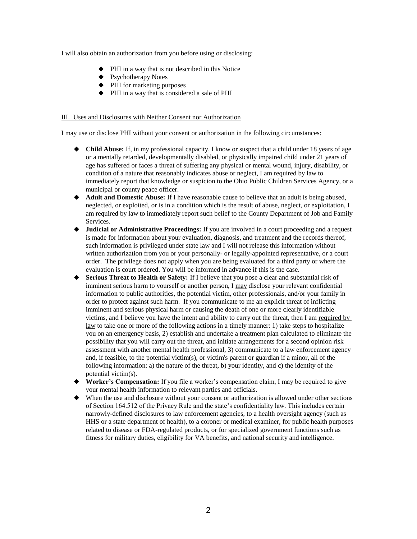I will also obtain an authorization from you before using or disclosing:

- $\blacklozenge$  PHI in a way that is not described in this Notice
- ◆ Psychotherapy Notes
- ◆ PHI for marketing purposes
- PHI in a way that is considered a sale of PHI

#### III. Uses and Disclosures with Neither Consent nor Authorization

I may use or disclose PHI without your consent or authorization in the following circumstances:

- **Child Abuse:** If, in my professional capacity, I know or suspect that a child under 18 years of age or a mentally retarded, developmentally disabled, or physically impaired child under 21 years of age has suffered or faces a threat of suffering any physical or mental wound, injury, disability, or condition of a nature that reasonably indicates abuse or neglect, I am required by law to immediately report that knowledge or suspicion to the Ohio Public Children Services Agency, or a municipal or county peace officer.
- **Adult and Domestic Abuse:** If I have reasonable cause to believe that an adult is being abused, neglected, or exploited, or is in a condition which is the result of abuse, neglect, or exploitation, I am required by law to immediately report such belief to the County Department of Job and Family Services.
- **Judicial or Administrative Proceedings:** If you are involved in a court proceeding and a request is made for information about your evaluation, diagnosis, and treatment and the records thereof, such information is privileged under state law and I will not release this information without written authorization from you or your personally- or legally-appointed representative, or a court order. The privilege does not apply when you are being evaluated for a third party or where the evaluation is court ordered. You will be informed in advance if this is the case.
- **Serious Threat to Health or Safety:** If I believe that you pose a clear and substantial risk of imminent serious harm to yourself or another person, I may disclose your relevant confidential information to public authorities, the potential victim, other professionals, and/or your family in order to protect against such harm. If you communicate to me an explicit threat of inflicting imminent and serious physical harm or causing the death of one or more clearly identifiable victims, and I believe you have the intent and ability to carry out the threat, then I am required by law to take one or more of the following actions in a timely manner: 1) take steps to hospitalize you on an emergency basis, 2) establish and undertake a treatment plan calculated to eliminate the possibility that you will carry out the threat, and initiate arrangements for a second opinion risk assessment with another mental health professional, 3) communicate to a law enforcement agency and, if feasible, to the potential victim(s), or victim's parent or guardian if a minor, all of the following information: a) the nature of the threat, b) your identity, and c) the identity of the potential victim(s).
- **Worker's Compensation:** If you file a worker's compensation claim, I may be required to give your mental health information to relevant parties and officials.
- When the use and disclosure without your consent or authorization is allowed under other sections of Section 164.512 of the Privacy Rule and the state's confidentiality law. This includes certain narrowly-defined disclosures to law enforcement agencies, to a health oversight agency (such as HHS or a state department of health), to a coroner or medical examiner, for public health purposes related to disease or FDA-regulated products, or for specialized government functions such as fitness for military duties, eligibility for VA benefits, and national security and intelligence.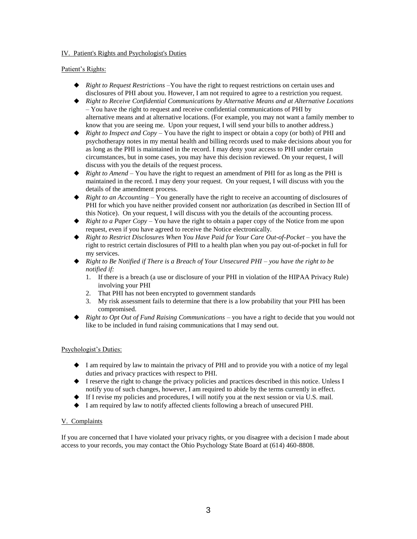#### IV. Patient's Rights and Psychologist's Duties

Patient's Rights:

- ◆ *Right to Request Restrictions* –You have the right to request restrictions on certain uses and disclosures of PHI about you. However, I am not required to agree to a restriction you request.
- *Right to Receive Confidential Communications by Alternative Means and at Alternative Locations*  – You have the right to request and receive confidential communications of PHI by alternative means and at alternative locations. (For example, you may not want a family member to know that you are seeing me. Upon your request, I will send your bills to another address.)
- $\blacklozenge$  *Right to Inspect and Copy* You have the right to inspect or obtain a copy (or both) of PHI and psychotherapy notes in my mental health and billing records used to make decisions about you for as long as the PHI is maintained in the record. I may deny your access to PHI under certain circumstances, but in some cases, you may have this decision reviewed. On your request, I will discuss with you the details of the request process.
- ◆ *Right to Amend* You have the right to request an amendment of PHI for as long as the PHI is maintained in the record. I may deny your request. On your request, I will discuss with you the details of the amendment process.
- ◆ *Right to an Accounting* You generally have the right to receive an accounting of disclosures of PHI for which you have neither provided consent nor authorization (as described in Section III of this Notice). On your request, I will discuss with you the details of the accounting process.
- ◆ *Right to a Paper Copy* You have the right to obtain a paper copy of the Notice from me upon request, even if you have agreed to receive the Notice electronically.
- ◆ *Right to Restrict Disclosures When You Have Paid for Your Care Out-of-Pocket* you have the right to restrict certain disclosures of PHI to a health plan when you pay out-of-pocket in full for my services.
- *Right to Be Notified if There is a Breach of Your Unsecured PHI – you have the right to be notified if:*
	- 1. If there is a breach (a use or disclosure of your PHI in violation of the HIPAA Privacy Rule) involving your PHI
	- 2. That PHI has not been encrypted to government standards
	- 3. My risk assessment fails to determine that there is a low probability that your PHI has been compromised.
- *Right to Opt Out of Fund Raising Communications* you have a right to decide that you would not like to be included in fund raising communications that I may send out.

### Psychologist's Duties:

- I am required by law to maintain the privacy of PHI and to provide you with a notice of my legal duties and privacy practices with respect to PHI.
- $\blacklozenge$  I reserve the right to change the privacy policies and practices described in this notice. Unless I notify you of such changes, however, I am required to abide by the terms currently in effect.
- $\blacklozenge$  If I revise my policies and procedures, I will notify you at the next session or via U.S. mail.
- I am required by law to notify affected clients following a breach of unsecured PHI.

### V. Complaints

If you are concerned that I have violated your privacy rights, or you disagree with a decision I made about access to your records, you may contact the Ohio Psychology State Board at (614) 460-8808.